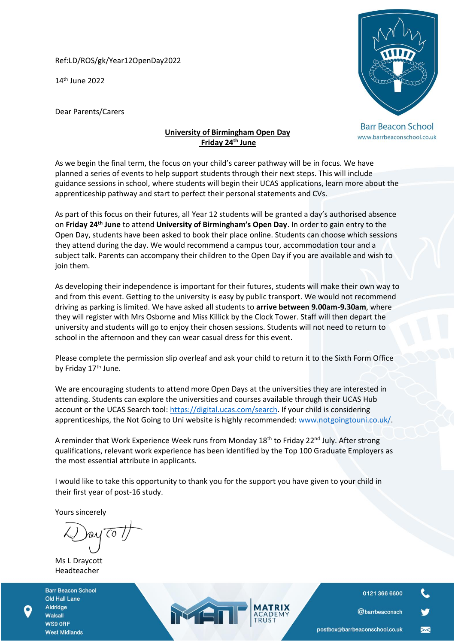Ref:LD/ROS/gk/Year12OpenDay2022

14 th June 2022

Dear Parents/Carers



**Barr Beacon School** www.barrbeaconschool.co.uk

## **University of Birmingham Open Day Friday 24th June**

As we begin the final term, the focus on your child's career pathway will be in focus. We have planned a series of events to help support students through their next steps. This will include guidance sessions in school, where students will begin their UCAS applications, learn more about the apprenticeship pathway and start to perfect their personal statements and CVs.

As part of this focus on their futures, all Year 12 students will be granted a day's authorised absence on **Friday 24th June** to attend **University of Birmingham's Open Day**. In order to gain entry to the Open Day, students have been asked to book their place online. Students can choose which sessions they attend during the day. We would recommend a campus tour, accommodation tour and a subject talk. Parents can accompany their children to the Open Day if you are available and wish to join them.

As developing their independence is important for their futures, students will make their own way to and from this event. Getting to the university is easy by public transport. We would not recommend driving as parking is limited. We have asked all students to **arrive between 9.00am-9.30am**, where they will register with Mrs Osborne and Miss Killick by the Clock Tower. Staff will then depart the university and students will go to enjoy their chosen sessions. Students will not need to return to school in the afternoon and they can wear casual dress for this event.

Please complete the permission slip overleaf and ask your child to return it to the Sixth Form Office by Friday 17<sup>th</sup> June.

We are encouraging students to attend more Open Days at the universities they are interested in attending. Students can explore the universities and courses available through their UCAS Hub account or the UCAS Search tool: [https://digital.ucas.com/search.](https://digital.ucas.com/search) If your child is considering apprenticeships, the [Not Going to Uni](https://www.notgoingtouni.co.uk/) website is highly recommended[: www.notgoingtouni.co.uk/.](http://www.notgoingtouni.co.uk/)

A reminder that Work Experience Week runs from Monday 18<sup>th</sup> to Friday 22<sup>nd</sup> July. After strong qualifications, relevant work experience has been identified by the Top 100 Graduate Employers as the most essential attribute in applicants.

I would like to take this opportunity to thank you for the support you have given to your child in their first year of post-16 study.

MET

Yours sincerely

 $\overline{C}$ 

Ms L Draycott Headteacher

**Barr Beacon School** Old Hall Lane Aldridge Walsall WS9 ORF **West Midlands** 

0121 366 6600

@barrbeaconsch